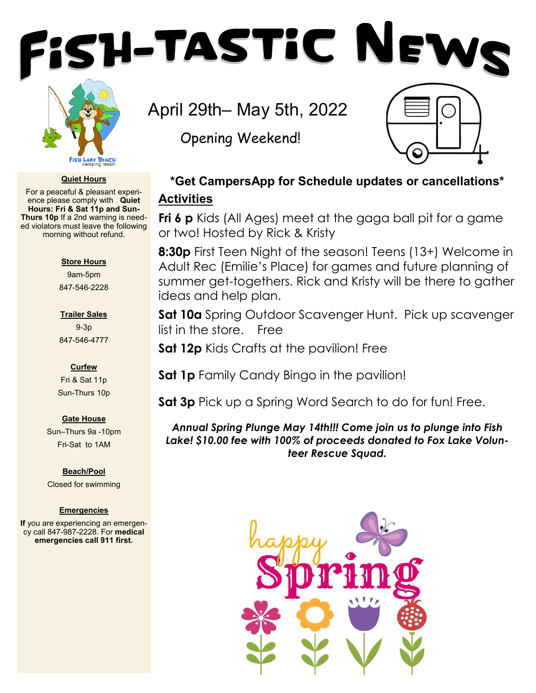# SH-TASTIC NEW



#### **Quiet Hours**

For a peaceful & pleasant experience please comply with **Quiet Hours: Fri & Sat 11p and Sun-Thurs 10p** If a 2nd warning is needed violators must leave the following morning without refund.

#### **Store Hours**

9am-5pm 847-546-2228

#### **Trailer Sales**

9-3p 847-546-4777

# **Curfew**

Fri & Sat 11p Sun-Thurs 10p

#### **Gate House**

Sun–Thurs 9a -10pm Fri-Sat to 1AM

**Beach/Pool** Closed for swimming

#### **Emergencies**

**If** you are experiencing an emergency call 847-987-2228. For **medical emergencies call 911 first.**

April 29th– May 5th, 2022

Opening Weekend!



# **\*Get CampersApp for Schedule updates or cancellations\* Activities**

**Fri 6 p** Kids (All Ages) meet at the gaga ball pit for a game or two! Hosted by Rick & Kristy

**8:30p** First Teen Night of the season! Teens (13+) Welcome in Adult Rec (Emilie's Place) for games and future planning of summer get-togethers. Rick and Kristy will be there to gather ideas and help plan.

**Sat 10a** Spring Outdoor Scavenger Hunt. Pick up scavenger list in the store. Free

**Sat 12p** Kids Crafts at the pavilion! Free

**Sat 1p** Family Candy Bingo in the pavilion!

**Sat 3p** Pick up a Spring Word Search to do for fun! Free.

# *Annual Spring Plunge May 14th!!! Come join us to plunge into Fish Lake! \$10.00 fee with 100% of proceeds donated to Fox Lake Volunteer Rescue Squad.*